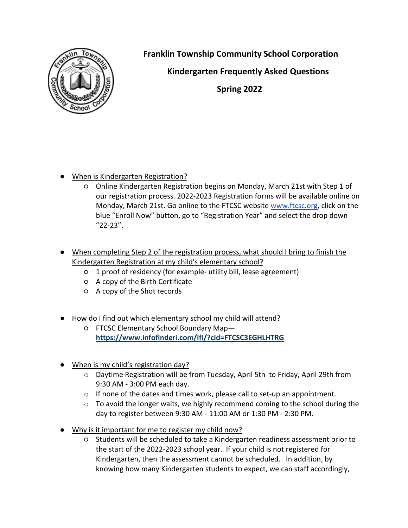

**Franklin Township Community School Corporation**

 **Kindergarten Frequently Asked Questions**

**Spring 2022**

- When is Kindergarten Registration?
	- Online Kindergarten Registration begins on Monday, March 21st with Step 1 of our registration process. 2022-2023 Registration forms will be available online on Monday, March 21st. Go online to the FTCSC website [www.ftcsc.org,](http://www.ftcsc.org/) click on the blue "Enroll Now" button, go to "Registration Year" and select the drop down "22-23".
- When completing Step 2 of the registration process, what should I bring to finish the Kindergarten Registration at my child's elementary school?
	- 1 proof of residency (for example- utility bill, lease agreement)
	- A copy of the Birth Certificate
	- A copy of the Shot records
- How do I find out which elementary school my child will attend?
	- FTCSC Elementary School Boundary Map **<https://www.infofinderi.com/ifi/?cid=FTCSC3EGHLHTRG>**
- When is my child's registration day?
	- $\circ$  Daytime Registration will be from Tuesday, April 5th to Friday, April 29th from 9:30 AM - 3:00 PM each day.
	- $\circ$  If none of the dates and times work, please call to set-up an appointment.
	- $\circ$  To avoid the longer waits, we highly recommend coming to the school during the day to register between 9:30 AM - 11:00 AM or 1:30 PM - 2:30 PM.
- Why is it important for me to register my child now?
	- Students will be scheduled to take a Kindergarten readiness assessment prior to the start of the 2022-2023 school year. If your child is not registered for Kindergarten, then the assessment cannot be scheduled. In addition, by knowing how many Kindergarten students to expect, we can staff accordingly,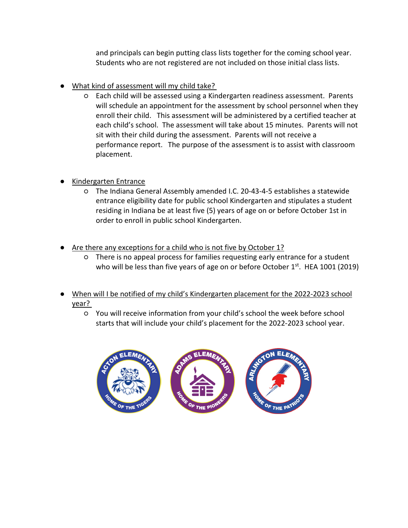and principals can begin putting class lists together for the coming school year. Students who are not registered are not included on those initial class lists.

- What kind of assessment will my child take?
	- Each child will be assessed using a Kindergarten readiness assessment. Parents will schedule an appointment for the assessment by school personnel when they enroll their child. This assessment will be administered by a certified teacher at each child's school. The assessment will take about 15 minutes. Parents will not sit with their child during the assessment. Parents will not receive a performance report. The purpose of the assessment is to assist with classroom placement.
- Kindergarten Entrance
	- The Indiana General Assembly amended I.C. 20-43-4-5 establishes a statewide entrance eligibility date for public school Kindergarten and stipulates a student residing in Indiana be at least five (5) years of age on or before October 1st in order to enroll in public school Kindergarten.
- Are there any exceptions for a child who is not five by October 1?
	- There is no appeal process for families requesting early entrance for a student who will be less than five years of age on or before October  $1<sup>st</sup>$ . HEA 1001 (2019)
- When will I be notified of my child's Kindergarten placement for the 2022-2023 school year?
	- You will receive information from your child's school the week before school starts that will include your child's placement for the 2022-2023 school year.